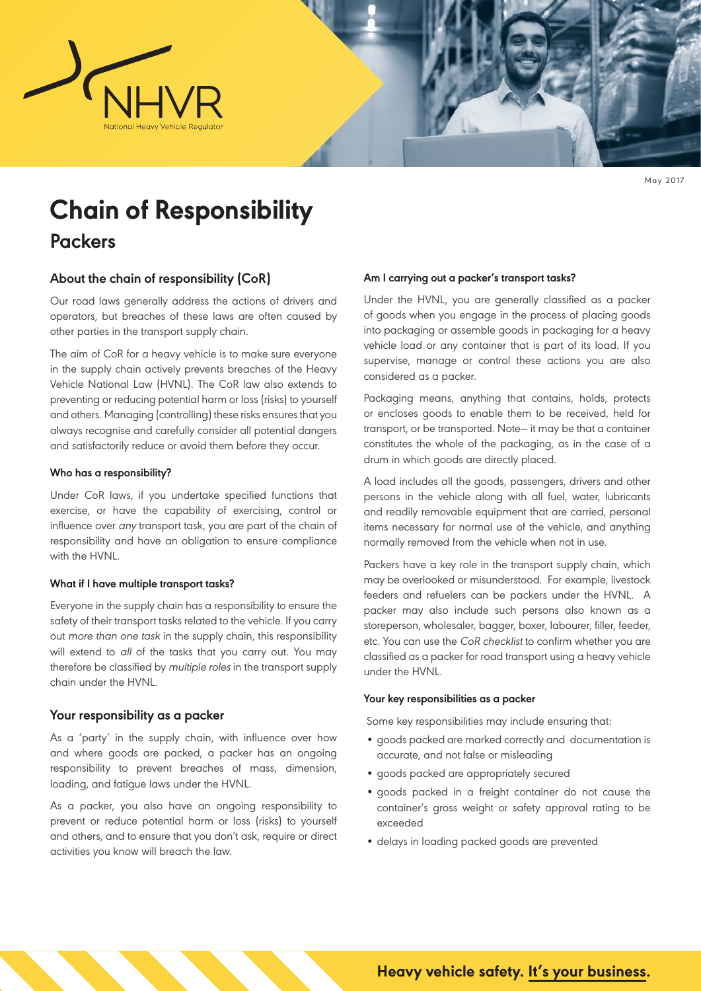

May 2017

# **Chain of Responsibility**

# **Packers**

## **About the chain of responsibility (CoR)**

Our road laws generally address the actions of drivers and operators, but breaches of these laws are often caused by other parties in the transport supply chain.

The aim of CoR for a heavy vehicle is to make sure everyone in the supply chain actively prevents breaches of the Heavy Vehicle National Law (HVNL). The CoR law also extends to preventing or reducing potential harm or loss (risks) to yourself and others. Managing (controlling) these risks ensures that you always recognise and carefully consider all potential dangers and satisfactorily reduce or avoid them before they occur.

#### **Who has a responsibility?**

Under CoR laws, if you undertake specified functions that exercise, or have the capability of exercising, control or influence over any transport task, you are part of the chain of responsibility and have an obligation to ensure compliance with the HVNL.

#### **What if I have multiple transport tasks?**

Everyone in the supply chain has a responsibility to ensure the safety of their transport tasks related to the vehicle. If you carry out more than one task in the supply chain, this responsibility will extend to all of the tasks that you carry out. You may therefore be classified by multiple roles in the transport supply chain under the HVNL.

#### **Your responsibility as a packer**

As a 'party' in the supply chain, with influence over how and where goods are packed, a packer has an ongoing responsibility to prevent breaches of mass, dimension, loading, and fatigue laws under the HVNL.

As a packer, you also have an ongoing responsibility to prevent or reduce potential harm or loss (risks) to yourself and others, and to ensure that you don't ask, require or direct activities you know will breach the law.

#### **Am I carrying out a packer's transport tasks?**

Under the HVNL, you are generally classified as a packer of goods when you engage in the process of placing goods into packaging or assemble goods in packaging for a heavy vehicle load or any container that is part of its load. If you supervise, manage or control these actions you are also considered as a packer.

Packaging means, anything that contains, holds, protects or encloses goods to enable them to be received, held for transport, or be transported. Note— it may be that a container constitutes the whole of the packaging, as in the case of a drum in which goods are directly placed.

A load includes all the goods, passengers, drivers and other persons in the vehicle along with all fuel, water, lubricants and readily removable equipment that are carried, personal items necessary for normal use of the vehicle, and anything normally removed from the vehicle when not in use.

Packers have a key role in the transport supply chain, which may be overlooked or misunderstood. For example, livestock feeders and refuelers can be packers under the HVNL. A packer may also include such persons also known as a storeperson, wholesaler, bagger, boxer, labourer, filler, feeder, etc. You can use the CoR checklist to confirm whether you are classified as a packer for road transport using a heavy vehicle under the HVNL.

#### **Your key responsibilities as a packer**

Some key responsibilities may include ensuring that:

- goods packed are marked correctly and documentation is accurate, and not false or misleading
- goods packed are appropriately secured
- goods packed in a freight container do not cause the container's gross weight or safety approval rating to be exceeded
- delays in loading packed goods are prevented